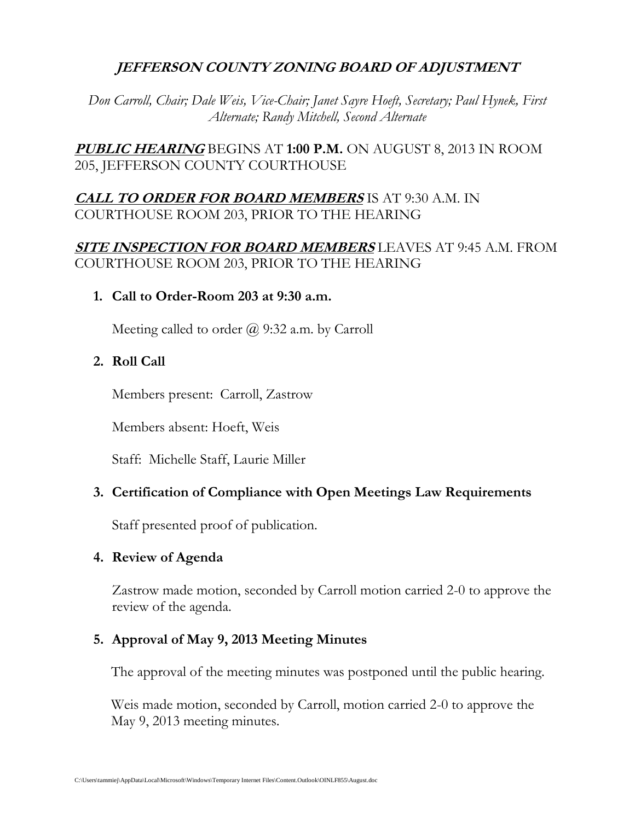# **JEFFERSON COUNTY ZONING BOARD OF ADJUSTMENT**

*Don Carroll, Chair; Dale Weis, Vice-Chair; Janet Sayre Hoeft, Secretary; Paul Hynek, First Alternate; Randy Mitchell, Second Alternate*

**PUBLIC HEARING** BEGINS AT **1:00 P.M.** ON AUGUST 8, 2013 IN ROOM 205, JEFFERSON COUNTY COURTHOUSE

# **CALL TO ORDER FOR BOARD MEMBERS** IS AT 9:30 A.M. IN COURTHOUSE ROOM 203, PRIOR TO THE HEARING

# **SITE INSPECTION FOR BOARD MEMBERS** LEAVES AT 9:45 A.M. FROM COURTHOUSE ROOM 203, PRIOR TO THE HEARING

**1. Call to Order-Room 203 at 9:30 a.m.**

Meeting called to order  $\omega$  9:32 a.m. by Carroll

# **2. Roll Call**

Members present: Carroll, Zastrow

Members absent: Hoeft, Weis

Staff: Michelle Staff, Laurie Miller

## **3. Certification of Compliance with Open Meetings Law Requirements**

Staff presented proof of publication.

## **4. Review of Agenda**

Zastrow made motion, seconded by Carroll motion carried 2-0 to approve the review of the agenda.

## **5. Approval of May 9, 2013 Meeting Minutes**

The approval of the meeting minutes was postponed until the public hearing.

Weis made motion, seconded by Carroll, motion carried 2-0 to approve the May 9, 2013 meeting minutes.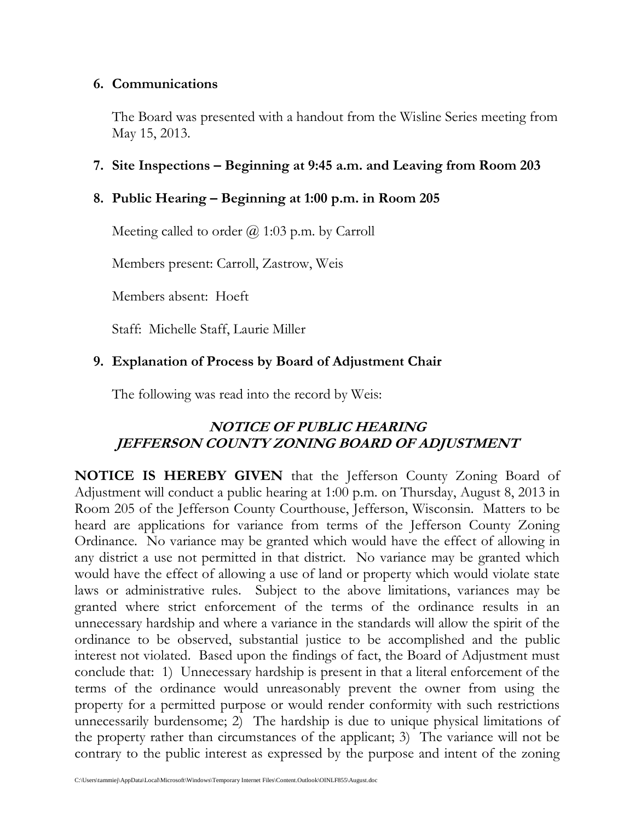### **6. Communications**

The Board was presented with a handout from the Wisline Series meeting from May 15, 2013.

### **7. Site Inspections – Beginning at 9:45 a.m. and Leaving from Room 203**

### **8. Public Hearing – Beginning at 1:00 p.m. in Room 205**

Meeting called to order  $\omega$  1:03 p.m. by Carroll

Members present: Carroll, Zastrow, Weis

Members absent: Hoeft

Staff: Michelle Staff, Laurie Miller

## **9. Explanation of Process by Board of Adjustment Chair**

The following was read into the record by Weis:

# **NOTICE OF PUBLIC HEARING JEFFERSON COUNTY ZONING BOARD OF ADJUSTMENT**

**NOTICE IS HEREBY GIVEN** that the Jefferson County Zoning Board of Adjustment will conduct a public hearing at 1:00 p.m. on Thursday, August 8, 2013 in Room 205 of the Jefferson County Courthouse, Jefferson, Wisconsin. Matters to be heard are applications for variance from terms of the Jefferson County Zoning Ordinance. No variance may be granted which would have the effect of allowing in any district a use not permitted in that district. No variance may be granted which would have the effect of allowing a use of land or property which would violate state laws or administrative rules. Subject to the above limitations, variances may be granted where strict enforcement of the terms of the ordinance results in an unnecessary hardship and where a variance in the standards will allow the spirit of the ordinance to be observed, substantial justice to be accomplished and the public interest not violated. Based upon the findings of fact, the Board of Adjustment must conclude that: 1) Unnecessary hardship is present in that a literal enforcement of the terms of the ordinance would unreasonably prevent the owner from using the property for a permitted purpose or would render conformity with such restrictions unnecessarily burdensome; 2) The hardship is due to unique physical limitations of the property rather than circumstances of the applicant; 3) The variance will not be contrary to the public interest as expressed by the purpose and intent of the zoning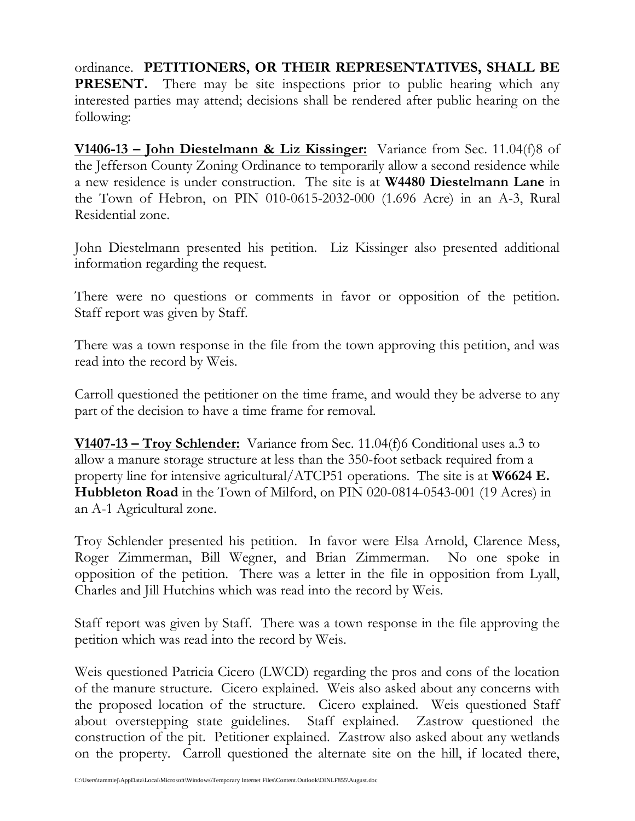ordinance. **PETITIONERS, OR THEIR REPRESENTATIVES, SHALL BE PRESENT.** There may be site inspections prior to public hearing which any interested parties may attend; decisions shall be rendered after public hearing on the following:

**V1406-13 – John Diestelmann & Liz Kissinger:** Variance from Sec. 11.04(f)8 of the Jefferson County Zoning Ordinance to temporarily allow a second residence while a new residence is under construction. The site is at **W4480 Diestelmann Lane** in the Town of Hebron, on PIN 010-0615-2032-000 (1.696 Acre) in an A-3, Rural Residential zone.

John Diestelmann presented his petition. Liz Kissinger also presented additional information regarding the request.

There were no questions or comments in favor or opposition of the petition. Staff report was given by Staff.

There was a town response in the file from the town approving this petition, and was read into the record by Weis.

Carroll questioned the petitioner on the time frame, and would they be adverse to any part of the decision to have a time frame for removal.

**V1407-13 – Troy Schlender:** Variance from Sec. 11.04(f)6 Conditional uses a.3 to allow a manure storage structure at less than the 350-foot setback required from a property line for intensive agricultural/ATCP51 operations. The site is at **W6624 E. Hubbleton Road** in the Town of Milford, on PIN 020-0814-0543-001 (19 Acres) in an A-1 Agricultural zone.

Troy Schlender presented his petition. In favor were Elsa Arnold, Clarence Mess, Roger Zimmerman, Bill Wegner, and Brian Zimmerman. No one spoke in opposition of the petition. There was a letter in the file in opposition from Lyall, Charles and Jill Hutchins which was read into the record by Weis.

Staff report was given by Staff. There was a town response in the file approving the petition which was read into the record by Weis.

Weis questioned Patricia Cicero (LWCD) regarding the pros and cons of the location of the manure structure. Cicero explained. Weis also asked about any concerns with the proposed location of the structure. Cicero explained. Weis questioned Staff about overstepping state guidelines. Staff explained. Zastrow questioned the construction of the pit. Petitioner explained. Zastrow also asked about any wetlands on the property. Carroll questioned the alternate site on the hill, if located there,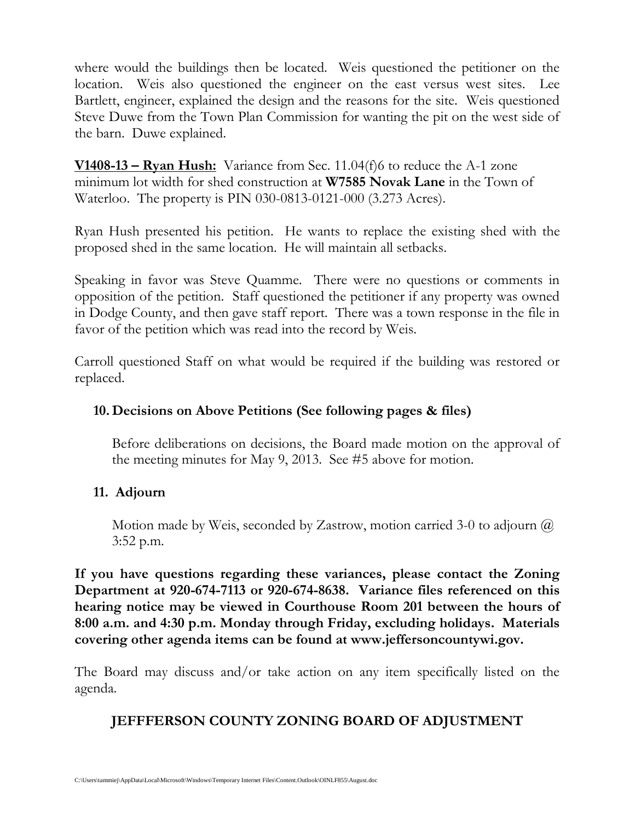where would the buildings then be located. Weis questioned the petitioner on the location. Weis also questioned the engineer on the east versus west sites. Lee Bartlett, engineer, explained the design and the reasons for the site. Weis questioned Steve Duwe from the Town Plan Commission for wanting the pit on the west side of the barn. Duwe explained.

**V1408-13 – Ryan Hush:** Variance from Sec. 11.04(f)6 to reduce the A-1 zone minimum lot width for shed construction at **W7585 Novak Lane** in the Town of Waterloo. The property is PIN 030-0813-0121-000 (3.273 Acres).

Ryan Hush presented his petition. He wants to replace the existing shed with the proposed shed in the same location. He will maintain all setbacks.

Speaking in favor was Steve Quamme. There were no questions or comments in opposition of the petition. Staff questioned the petitioner if any property was owned in Dodge County, and then gave staff report. There was a town response in the file in favor of the petition which was read into the record by Weis.

Carroll questioned Staff on what would be required if the building was restored or replaced.

## **10. Decisions on Above Petitions (See following pages & files)**

Before deliberations on decisions, the Board made motion on the approval of the meeting minutes for May 9, 2013. See #5 above for motion.

## **11. Adjourn**

Motion made by Weis, seconded by Zastrow, motion carried 3-0 to adjourn  $\omega$ 3:52 p.m.

**If you have questions regarding these variances, please contact the Zoning Department at 920-674-7113 or 920-674-8638. Variance files referenced on this hearing notice may be viewed in Courthouse Room 201 between the hours of 8:00 a.m. and 4:30 p.m. Monday through Friday, excluding holidays. Materials covering other agenda items can be found at www.jeffersoncountywi.gov.**

The Board may discuss and/or take action on any item specifically listed on the agenda.

# **JEFFFERSON COUNTY ZONING BOARD OF ADJUSTMENT**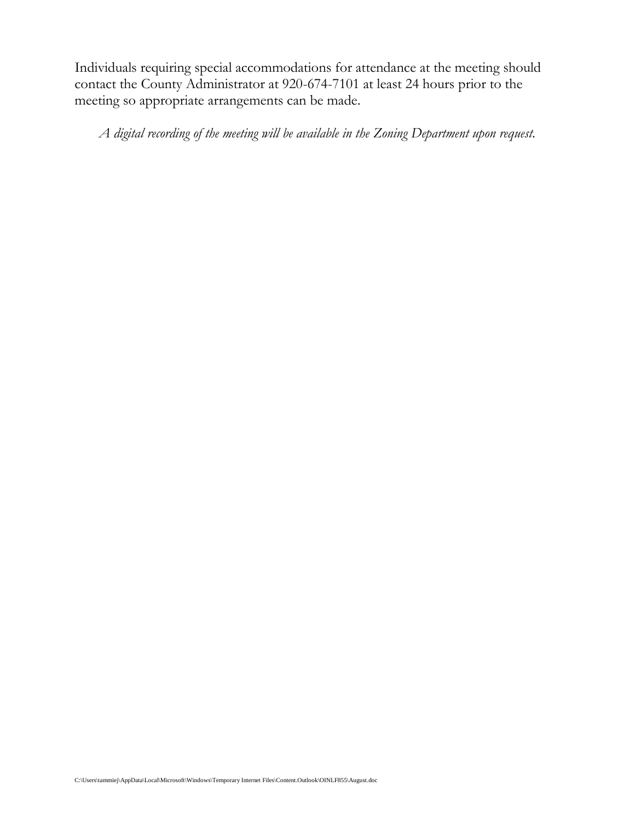Individuals requiring special accommodations for attendance at the meeting should contact the County Administrator at 920-674-7101 at least 24 hours prior to the meeting so appropriate arrangements can be made.

*A digital recording of the meeting will be available in the Zoning Department upon request.*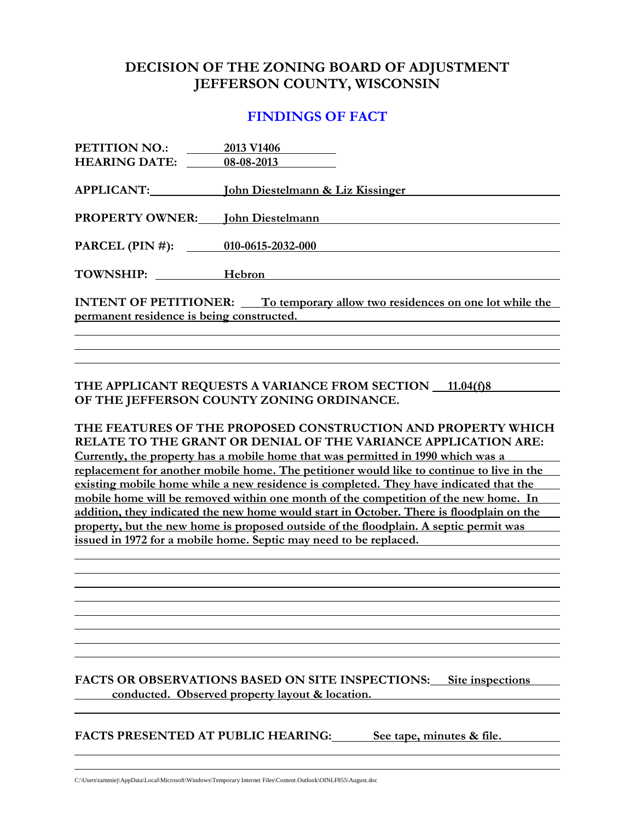## **DECISION OF THE ZONING BOARD OF ADJUSTMENT JEFFERSON COUNTY, WISCONSIN**

### **FINDINGS OF FACT**

| PETITION NO.:                                                                       | 2013 V1406                                             |  |
|-------------------------------------------------------------------------------------|--------------------------------------------------------|--|
| <b>HEARING DATE:</b>                                                                | 08-08-2013                                             |  |
|                                                                                     |                                                        |  |
|                                                                                     | APPLICANT: <b>Iohn Diestelmann &amp; Liz Kissinger</b> |  |
|                                                                                     | <b>PROPERTY OWNER:</b> John Diestelmann                |  |
|                                                                                     |                                                        |  |
|                                                                                     | PARCEL (PIN #): 010-0615-2032-000                      |  |
| TOWNSHIP: Hebron                                                                    |                                                        |  |
|                                                                                     |                                                        |  |
| <b>INTENT OF PETITIONER:</b> To temporary allow two residences on one lot while the |                                                        |  |
| permanent residence is being constructed.                                           |                                                        |  |
|                                                                                     |                                                        |  |

**THE APPLICANT REQUESTS A VARIANCE FROM SECTION 11.04(f)8 OF THE JEFFERSON COUNTY ZONING ORDINANCE.**

**THE FEATURES OF THE PROPOSED CONSTRUCTION AND PROPERTY WHICH RELATE TO THE GRANT OR DENIAL OF THE VARIANCE APPLICATION ARE: Currently, the property has a mobile home that was permitted in 1990 which was a replacement for another mobile home. The petitioner would like to continue to live in the existing mobile home while a new residence is completed. They have indicated that the mobile home will be removed within one month of the competition of the new home. In addition, they indicated the new home would start in October. There is floodplain on the property, but the new home is proposed outside of the floodplain. A septic permit was issued in 1972 for a mobile home. Septic may need to be replaced.** 

**FACTS OR OBSERVATIONS BASED ON SITE INSPECTIONS: Site inspections conducted. Observed property layout & location.**

**FACTS PRESENTED AT PUBLIC HEARING: See tape, minutes & file.**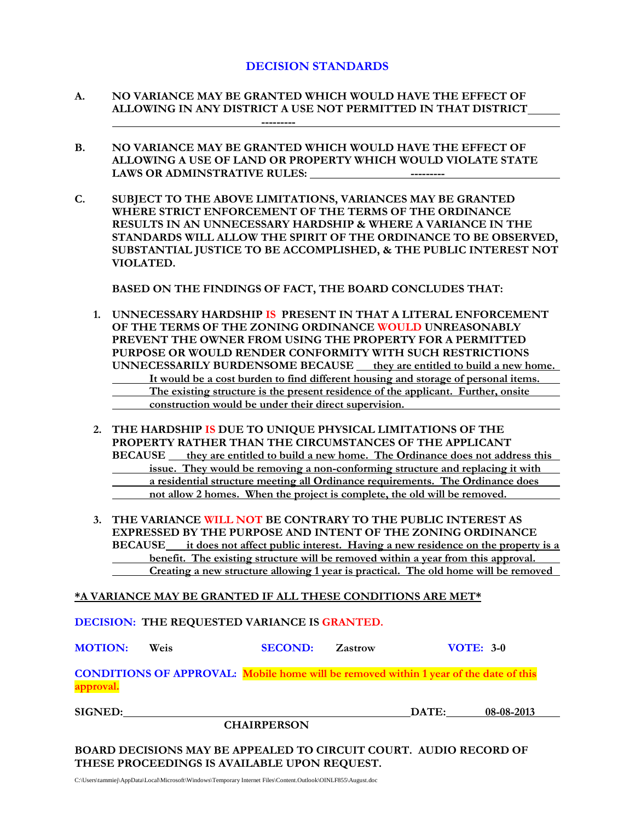#### **DECISION STANDARDS**

- **A. NO VARIANCE MAY BE GRANTED WHICH WOULD HAVE THE EFFECT OF ALLOWING IN ANY DISTRICT A USE NOT PERMITTED IN THAT DISTRICT ---------**
- **B. NO VARIANCE MAY BE GRANTED WHICH WOULD HAVE THE EFFECT OF ALLOWING A USE OF LAND OR PROPERTY WHICH WOULD VIOLATE STATE LAWS OR ADMINSTRATIVE RULES:**
- **C. SUBJECT TO THE ABOVE LIMITATIONS, VARIANCES MAY BE GRANTED WHERE STRICT ENFORCEMENT OF THE TERMS OF THE ORDINANCE RESULTS IN AN UNNECESSARY HARDSHIP & WHERE A VARIANCE IN THE STANDARDS WILL ALLOW THE SPIRIT OF THE ORDINANCE TO BE OBSERVED, SUBSTANTIAL JUSTICE TO BE ACCOMPLISHED, & THE PUBLIC INTEREST NOT VIOLATED.**

**BASED ON THE FINDINGS OF FACT, THE BOARD CONCLUDES THAT:**

- **1. UNNECESSARY HARDSHIP IS PRESENT IN THAT A LITERAL ENFORCEMENT OF THE TERMS OF THE ZONING ORDINANCE WOULD UNREASONABLY PREVENT THE OWNER FROM USING THE PROPERTY FOR A PERMITTED PURPOSE OR WOULD RENDER CONFORMITY WITH SUCH RESTRICTIONS UNNECESSARILY BURDENSOME BECAUSE they are entitled to build a new home. It would be a cost burden to find different housing and storage of personal items. The existing structure is the present residence of the applicant. Further, onsite construction would be under their direct supervision.**
- **2. THE HARDSHIP IS DUE TO UNIQUE PHYSICAL LIMITATIONS OF THE PROPERTY RATHER THAN THE CIRCUMSTANCES OF THE APPLICANT BECAUSE** they are entitled to build a new home. The Ordinance does not address this **issue. They would be removing a non-conforming structure and replacing it with a residential structure meeting all Ordinance requirements. The Ordinance does not allow 2 homes. When the project is complete, the old will be removed.**
- **3. THE VARIANCE WILL NOT BE CONTRARY TO THE PUBLIC INTEREST AS EXPRESSED BY THE PURPOSE AND INTENT OF THE ZONING ORDINANCE BECAUSE it does not affect public interest. Having a new residence on the property is a benefit. The existing structure will be removed within a year from this approval. Creating a new structure allowing 1 year is practical. The old home will be removed**

**\*A VARIANCE MAY BE GRANTED IF ALL THESE CONDITIONS ARE MET\***

**DECISION: THE REQUESTED VARIANCE IS GRANTED.**

**MOTION: Weis SECOND: Zastrow VOTE: 3-0**

**CONDITIONS OF APPROVAL: Mobile home will be removed within 1 year of the date of this approval.**

**SIGNED: DATE: 08-08-2013**

**BOARD DECISIONS MAY BE APPEALED TO CIRCUIT COURT. AUDIO RECORD OF THESE PROCEEDINGS IS AVAILABLE UPON REQUEST.**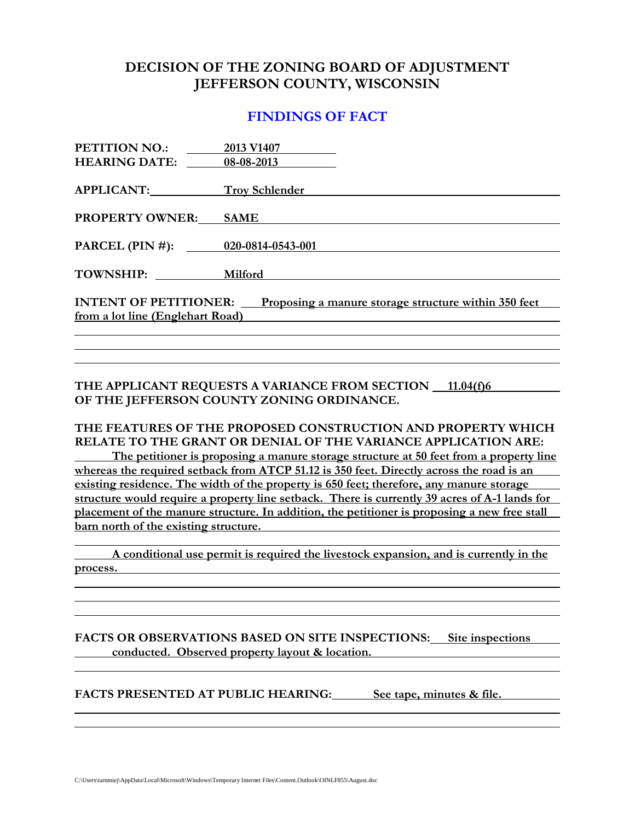### **DECISION OF THE ZONING BOARD OF ADJUSTMENT JEFFERSON COUNTY, WISCONSIN**

### **FINDINGS OF FACT**

| PETITION NO.:                                                                        | 2013 V1407            |  |
|--------------------------------------------------------------------------------------|-----------------------|--|
| <b>HEARING DATE:</b>                                                                 | 08-08-2013            |  |
|                                                                                      |                       |  |
| <b>APPLICANT:</b>                                                                    | <b>Troy Schlender</b> |  |
|                                                                                      |                       |  |
| <b>PROPERTY OWNER:</b>                                                               | <b>SAME</b>           |  |
|                                                                                      |                       |  |
| PARCEL (PIN #): 020-0814-0543-001                                                    |                       |  |
|                                                                                      |                       |  |
| TOWNSHIP:                                                                            | Milford               |  |
|                                                                                      |                       |  |
| <b>INTENT OF PETITIONER:</b><br>Proposing a manure storage structure within 350 feet |                       |  |
| from a lot line (Englehart Road)                                                     |                       |  |
|                                                                                      |                       |  |

**THE APPLICANT REQUESTS A VARIANCE FROM SECTION 11.04(f)6 OF THE JEFFERSON COUNTY ZONING ORDINANCE.**

#### **THE FEATURES OF THE PROPOSED CONSTRUCTION AND PROPERTY WHICH RELATE TO THE GRANT OR DENIAL OF THE VARIANCE APPLICATION ARE:**

**The petitioner is proposing a manure storage structure at 50 feet from a property line whereas the required setback from ATCP 51.12 is 350 feet. Directly across the road is an existing residence. The width of the property is 650 feet; therefore, any manure storage structure would require a property line setback. There is currently 39 acres of A-1 lands for placement of the manure structure. In addition, the petitioner is proposing a new free stall barn north of the existing structure.** 

**A conditional use permit is required the livestock expansion, and is currently in the process.**

**FACTS OR OBSERVATIONS BASED ON SITE INSPECTIONS: Site inspections conducted. Observed property layout & location.**

**FACTS PRESENTED AT PUBLIC HEARING: See tape, minutes & file.**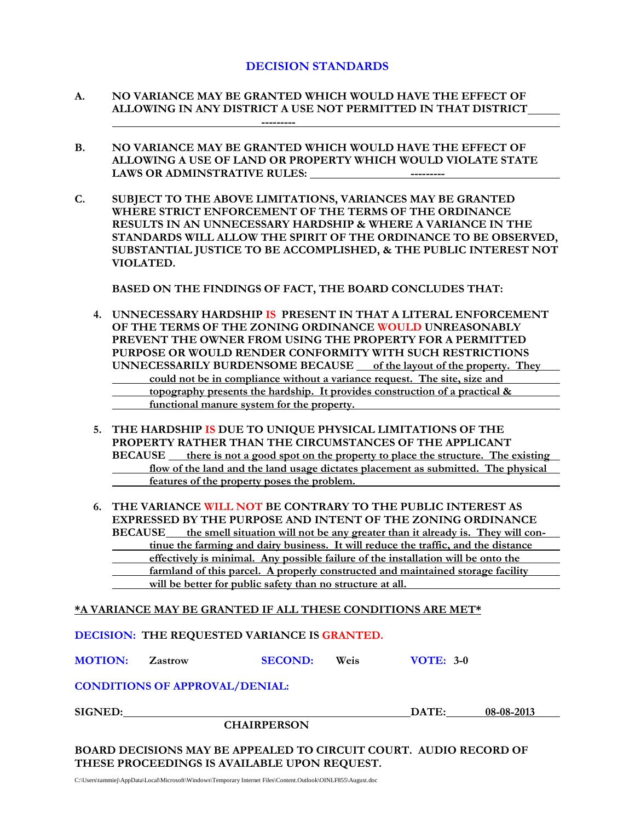#### **DECISION STANDARDS**

- **A. NO VARIANCE MAY BE GRANTED WHICH WOULD HAVE THE EFFECT OF ALLOWING IN ANY DISTRICT A USE NOT PERMITTED IN THAT DISTRICT ---------**
- **B. NO VARIANCE MAY BE GRANTED WHICH WOULD HAVE THE EFFECT OF ALLOWING A USE OF LAND OR PROPERTY WHICH WOULD VIOLATE STATE LAWS OR ADMINSTRATIVE RULES:**
- **C. SUBJECT TO THE ABOVE LIMITATIONS, VARIANCES MAY BE GRANTED WHERE STRICT ENFORCEMENT OF THE TERMS OF THE ORDINANCE RESULTS IN AN UNNECESSARY HARDSHIP & WHERE A VARIANCE IN THE STANDARDS WILL ALLOW THE SPIRIT OF THE ORDINANCE TO BE OBSERVED, SUBSTANTIAL JUSTICE TO BE ACCOMPLISHED, & THE PUBLIC INTEREST NOT VIOLATED.**

**BASED ON THE FINDINGS OF FACT, THE BOARD CONCLUDES THAT:**

- **4. UNNECESSARY HARDSHIP IS PRESENT IN THAT A LITERAL ENFORCEMENT OF THE TERMS OF THE ZONING ORDINANCE WOULD UNREASONABLY PREVENT THE OWNER FROM USING THE PROPERTY FOR A PERMITTED PURPOSE OR WOULD RENDER CONFORMITY WITH SUCH RESTRICTIONS UNNECESSARILY BURDENSOME BECAUSE of the layout of the property. They could not be in compliance without a variance request. The site, size and topography presents the hardship. It provides construction of a practical & functional manure system for the property.**
- **5. THE HARDSHIP IS DUE TO UNIQUE PHYSICAL LIMITATIONS OF THE PROPERTY RATHER THAN THE CIRCUMSTANCES OF THE APPLICANT BECAUSE there is not a good spot on the property to place the structure. The existing flow of the land and the land usage dictates placement as submitted. The physical features of the property poses the problem.**
- **6. THE VARIANCE WILL NOT BE CONTRARY TO THE PUBLIC INTEREST AS EXPRESSED BY THE PURPOSE AND INTENT OF THE ZONING ORDINANCE BECAUSE the smell situation will not be any greater than it already is. They will continue the farming and dairy business. It will reduce the traffic, and the distance effectively is minimal. Any possible failure of the installation will be onto the farmland of this parcel. A properly constructed and maintained storage facility**

**will be better for public safety than no structure at all.**

**\*A VARIANCE MAY BE GRANTED IF ALL THESE CONDITIONS ARE MET\***

**DECISION: THE REQUESTED VARIANCE IS GRANTED.**

**MOTION: Zastrow SECOND: Weis VOTE: 3-0**

#### **CONDITIONS OF APPROVAL/DENIAL:**

| <b>SIGNED:</b> |  |
|----------------|--|
|----------------|--|

**CHAIRPERSON**

**SIGNED: DATE: 08-08-2013**

**BOARD DECISIONS MAY BE APPEALED TO CIRCUIT COURT. AUDIO RECORD OF THESE PROCEEDINGS IS AVAILABLE UPON REQUEST.**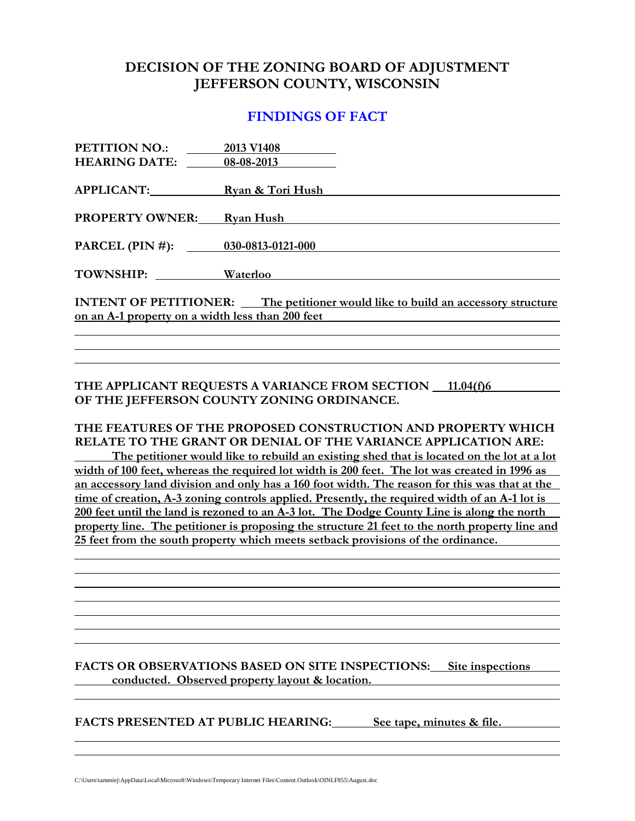### **DECISION OF THE ZONING BOARD OF ADJUSTMENT JEFFERSON COUNTY, WISCONSIN**

### **FINDINGS OF FACT**

| PETITION NO.:                                                                          | 2013 V1408       |  |
|----------------------------------------------------------------------------------------|------------------|--|
| <b>HEARING DATE:</b>                                                                   | 08-08-2013       |  |
|                                                                                        |                  |  |
| APPLICANT:                                                                             | Ryan & Tori Hush |  |
|                                                                                        |                  |  |
| <b>PROPERTY OWNER:</b>                                                                 | Ryan Hush        |  |
|                                                                                        |                  |  |
| PARCEL (PIN #): 030-0813-0121-000                                                      |                  |  |
| <b>TOWNSHIP:</b>                                                                       | Waterloo         |  |
|                                                                                        |                  |  |
| <b>INTENT OF PETITIONER:</b> The petitioner would like to build an accessory structure |                  |  |
| on an A-1 property on a width less than 200 feet                                       |                  |  |
|                                                                                        |                  |  |

#### **THE APPLICANT REQUESTS A VARIANCE FROM SECTION 11.04(f)6 OF THE JEFFERSON COUNTY ZONING ORDINANCE.**

#### **THE FEATURES OF THE PROPOSED CONSTRUCTION AND PROPERTY WHICH RELATE TO THE GRANT OR DENIAL OF THE VARIANCE APPLICATION ARE:**

**The petitioner would like to rebuild an existing shed that is located on the lot at a lot width of 100 feet, whereas the required lot width is 200 feet. The lot was created in 1996 as an accessory land division and only has a 160 foot width. The reason for this was that at the time of creation, A-3 zoning controls applied. Presently, the required width of an A-1 lot is 200 feet until the land is rezoned to an A-3 lot. The Dodge County Line is along the north property line. The petitioner is proposing the structure 21 feet to the north property line and 25 feet from the south property which meets setback provisions of the ordinance.** 

#### **FACTS OR OBSERVATIONS BASED ON SITE INSPECTIONS: Site inspections conducted. Observed property layout & location.**

**FACTS PRESENTED AT PUBLIC HEARING: See tape, minutes & file.**